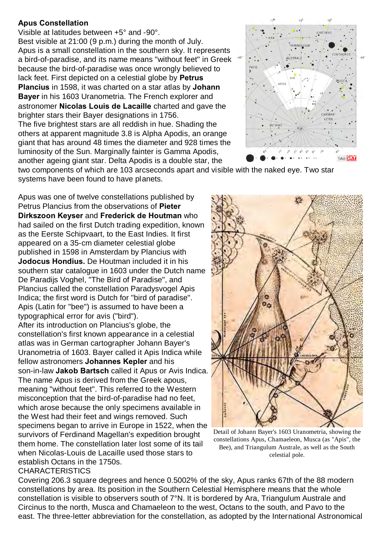## **Apus Constellation**

Visible at latitudes between +5° and -90°. Best visible at 21:00 (9 p.m.) during the month of July. Apus is a small constellation in the southern sky. It represents a bird-of-paradise, and its name means "without feet" in Greek because the bird-of-paradise was once wrongly believed to lack feet. First depicted on a celestial globe by **Petrus Plancius** in 1598, it was charted on a star atlas by **Johann Bayer** in his 1603 Uranometria. The French explorer and astronomer **Nicolas Louis de Lacaille** charted and gave the brighter stars their Bayer designations in 1756. The five brightest stars are all reddish in hue. Shading the others at apparent magnitude 3.8 is Alpha Apodis, an orange giant that has around 48 times the diameter and 928 times the luminosity of the Sun. Marginally fainter is Gamma Apodis, another ageing giant star. Delta Apodis is a double star, the



two components of which are 103 arcseconds apart and visible with the naked eye. Two star systems have been found to have planets.

Apus was one of twelve constellations published by Petrus Plancius from the observations of **Pieter Dirkszoon Keyser** and **Frederick de Houtman** who had sailed on the first Dutch trading expedition, known as the Eerste Schipvaart, to the East Indies. It first appeared on a 35-cm diameter celestial globe published in 1598 in Amsterdam by Plancius with **Jodocus Hondius.** De Houtman included it in his southern star catalogue in 1603 under the Dutch name De Paradijs Voghel, "The Bird of Paradise", and Plancius called the constellation Paradysvogel Apis Indica; the first word is Dutch for "bird of paradise". Apis (Latin for "bee") is assumed to have been a typographical error for avis ("bird").

After its introduction on Plancius's globe, the constellation's first known appearance in a celestial atlas was in German cartographer Johann Bayer's Uranometria of 1603. Bayer called it Apis Indica while fellow astronomers **Johannes Kepler** and his son-in-law **Jakob Bartsch** called it Apus or Avis Indica. The name Apus is derived from the Greek apous, meaning "without feet". This referred to the Western misconception that the bird-of-paradise had no feet, which arose because the only specimens available in the West had their feet and wings removed. Such specimens began to arrive in Europe in 1522, when the survivors of Ferdinand Magellan's expedition brought them home. The constellation later lost some of its tail when Nicolas-Louis de Lacaille used those stars to establish Octans in the 1750s.



Detail of Johann Bayer's 1603 Uranometria, showing the constellations Apus, Chamaeleon, Musca (as "Apis", the Bee), and Triangulum Australe, as well as the South celestial pole.

## CHARACTERISTICS

Covering 206.3 square degrees and hence 0.5002% of the sky, Apus ranks 67th of the 88 modern constellations by area. Its position in the Southern Celestial Hemisphere means that the whole constellation is visible to observers south of 7°N. It is bordered by Ara, Triangulum Australe and Circinus to the north, Musca and Chamaeleon to the west, Octans to the south, and Pavo to the east. The three-letter abbreviation for the constellation, as adopted by the International Astronomical